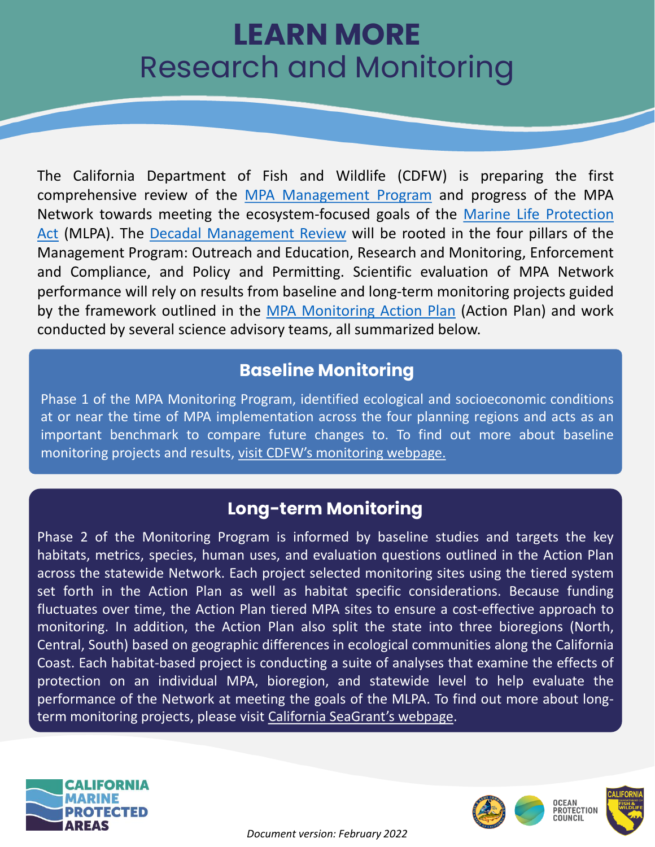# **LEARN MORE** Research and Monitoring

The California Department of Fish and Wildlife (CDFW) is preparing the first comprehensive review of the MPA [Management](https://wildlife.ca.gov/Conservation/Marine/MPAs/Management) Program and progress of the MPA Network towards meeting the [ecosystem-focused](https://wildlife.ca.gov/Conservation/Marine/MPAs/MLPA) goals of the Marine Life Protection Act (MLPA). The Decadal [Management](https://wildlife.ca.gov/Conservation/Marine/MPAs/Management/Decadal-Review) Review will be rooted in the four pillars of the Management Program: Outreach and Education, Research and Monitoring, Enforcement and Compliance, and Policy and Permitting. Scientific evaluation of MPA Network performance will rely on results from baseline and long-term monitoring projects guided by the framework outlined in the MPA [Monitoring](https://wildlife.ca.gov/Conservation/Marine/MPAs/Management/Monitoring/Action-Plan) Action Plan (Action Plan) and work conducted by several science advisory teams, all summarized below.

### **Baseline Monitoring**

Phase 1 of the MPA Monitoring Program, identified ecological and socioeconomic conditions at or near the time of MPA implementation across the four planning regions and acts as an important benchmark to compare future changes to. To find out more about baseline monitoring projects and results, visit CDFW's [monitoring](https://wildlife.ca.gov/Conservation/Marine/MPAs/management/monitoring#533952037-mpa-baseline-monitoring) webpage.

## **Long-term Monitoring**

Phase 2 of the Monitoring Program is informed by baseline studies and targets the key habitats, metrics, species, human uses, and evaluation questions outlined in the Action Plan across the statewide Network. Each project selected monitoring sites using the tiered system set forth in the Action Plan as well as habitat specific considerations. Because funding fluctuates over time, the Action Plan tiered MPA sites to ensure a cost-effective approach to monitoring. In addition, the Action Plan also split the state into three bioregions (North, Central, South) based on geographic differences in ecological communities along the California Coast. Each habitat-based project is conducting a suite of analyses that examine the effects of protection on an individual MPA, bioregion, and statewide level to help evaluate the performance of the Network at meeting the goals of the MLPA. To find out more about longterm monitoring projects, please visit California [SeaGrant's](https://caseagrant.ucsd.edu/news/california-marine-protected-area-long-term-monitoring-program-final-reports-2019-2021) webpage.



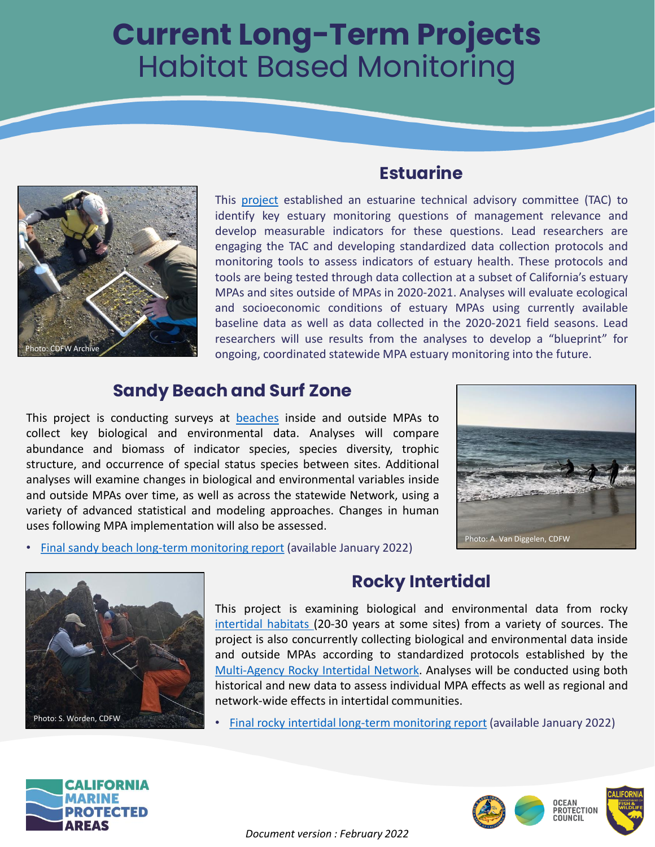# **Current Long-Term Projects** Habitat Based Monitoring



### **Estuarine**

This [project](https://opc.ca.gov/webmaster/ftp/pdf/agenda_items/20191113/Item8a_Estuaries_FINAL.pdf) established an estuarine technical advisory committee (TAC) to identify key estuary monitoring questions of management relevance and develop measurable indicators for these questions. Lead researchers are engaging the TAC and developing standardized data collection protocols and monitoring tools to assess indicators of estuary health. These protocols and tools are being tested through data collection at a subset of California's estuary MPAs and sites outside of MPAs in 2020-2021. Analyses will evaluate ecological and socioeconomic conditions of estuary MPAs using currently available baseline data as well as data collected in the 2020-2021 field seasons. Lead researchers will use results from the analyses to develop a "blueprint" for ongoing, coordinated statewide MPA estuary monitoring into the future.

#### **Sandy Beach and Surf Zone**

This project is conducting surveys at [beaches](https://caseagrant.ucsd.edu/news/mpa-update-sandy-beaches-and-surf-zones-offer-clues-to-ocean-health) inside and outside MPAs to collect key biological and environmental data. Analyses will compare abundance and biomass of indicator species, species diversity, trophic structure, and occurrence of special status species between sites. Additional analyses will examine changes in biological and environmental variables inside and outside MPAs over time, as well as across the statewide Network, using a variety of advanced statistical and modeling approaches. Changes in human uses following MPA implementation will also be assessed.



• Final sandy beach long-term [monitoring](https://caseagrant.ucsd.edu/sites/default/files/FinalMPAReportBeachesSurfZonesJan2022.pdf) report (available January 2022)



### **Rocky Intertidal**

This project is examining biological and environmental data from rocky [intertidal](https://caseagrant.ucsd.edu/news/mpa-update-observing-the-space-between-land-and-sea) habitats (20-30 years at some sites) from a variety of sources. The project is also concurrently collecting biological and environmental data inside and outside MPAs according to standardized protocols established by the [Multi-Agency](https://marine.ucsc.edu/) Rocky Intertidal Network. Analyses will be conducted using both historical and new data to assess individual MPA effects as well as regional and network-wide effects in intertidal communities.

• Final rocky intertidal long-term [monitoring](https://caseagrant.ucsd.edu/sites/default/files/MPA_Rocky_Intertidal_decadal_report_FINAL_1_12_2022.pdf) report (available January 2022)



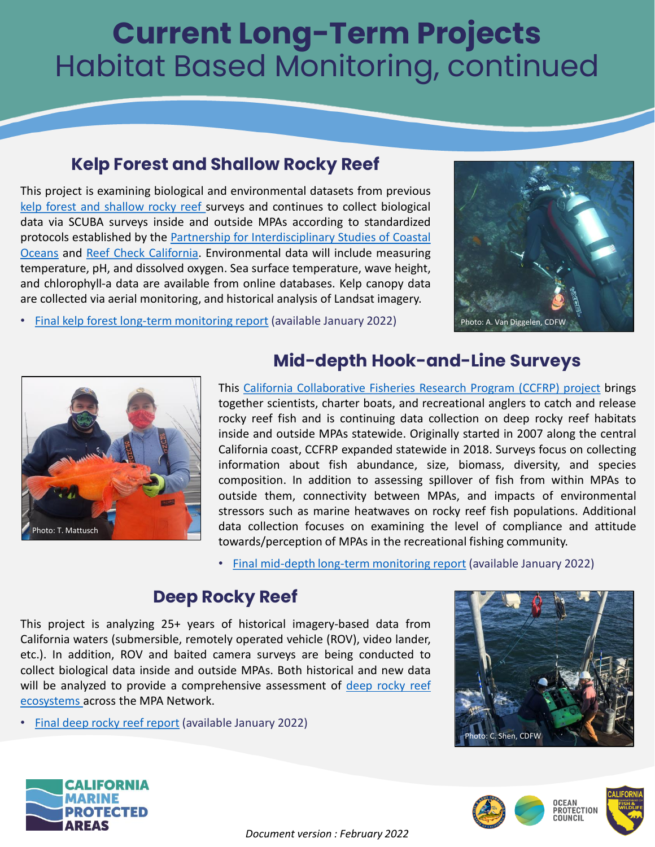# **Current Long-Term Projects** Habitat Based Monitoring, continued

#### **Kelp Forest and Shallow Rocky Reef**

This project is examining biological and environmental datasets from previous kelp forest and [shallow](https://caseagrant.ucsd.edu/news/mpa-update-monitoring-californias-iconic-kelp-forests) rocky reef surveys and continues to collect biological data via SCUBA surveys inside and outside MPAs according to standardized protocols established by the Partnership for [Interdisciplinary](http://www.piscoweb.org/kelp-forests) Studies of Coastal Oceans and Reef Check [California.](https://www.reefcheck.org/california-program/) Environmental data will include measuring temperature, pH, and dissolved oxygen. Sea surface temperature, wave height, and chlorophyll-a data are available from online databases. Kelp canopy data are collected via aerial monitoring, and historical analysis of Landsat imagery.



• Final kelp forest long-term [monitoring](https://caseagrant.ucsd.edu/sites/default/files/R_MPA-43_Kelp%20Forest%20Technical%20Report%20Narrative.pdf) report (available January 2022)



#### **Mid-depth Hook-and-Line Surveys**

This California [Collaborative](https://caseagrant.ucsd.edu/news/mpa-update-sport-anglers-reel-in-fisheries-data) Fisheries Research Program (CCFRP) project brings together scientists, charter boats, and recreational anglers to catch and release rocky reef fish and is continuing data collection on deep rocky reef habitats inside and outside MPAs statewide. Originally started in 2007 along the central California coast, CCFRP expanded statewide in 2018. Surveys focus on collecting information about fish abundance, size, biomass, diversity, and species composition. In addition to assessing spillover of fish from within MPAs to outside them, connectivity between MPAs, and impacts of environmental stressors such as marine heatwaves on rocky reef fish populations. Additional data collection focuses on examining the level of compliance and attitude towards/perception of MPAs in the recreational fishing community.

• Final mid-depth long-term [monitoring](https://caseagrant.ucsd.edu/sites/default/files/CCFRP_Final_Report.pdf) report (available January 2022)

#### **Deep Rocky Reef**

This project is analyzing 25+ years of historical imagery-based data from California waters (submersible, remotely operated vehicle (ROV), video lander, etc.). In addition, ROV and baited camera surveys are being conducted to collect biological data inside and outside MPAs. Both historical and new data will be analyzed to provide a [comprehensive](https://caseagrant.ucsd.edu/news/mpa-update-a-deep-dive-into-the-mid-depth-rocky-reef) assessment of deep rocky reef ecosystems across the MPA Network.

• Final deep rocky reef [report](https://caseagrant.ucsd.edu/sites/default/files/MidDepth_MPA_Report_1_25_2022.pdf) (available January 2022)







*Document version : February 2022*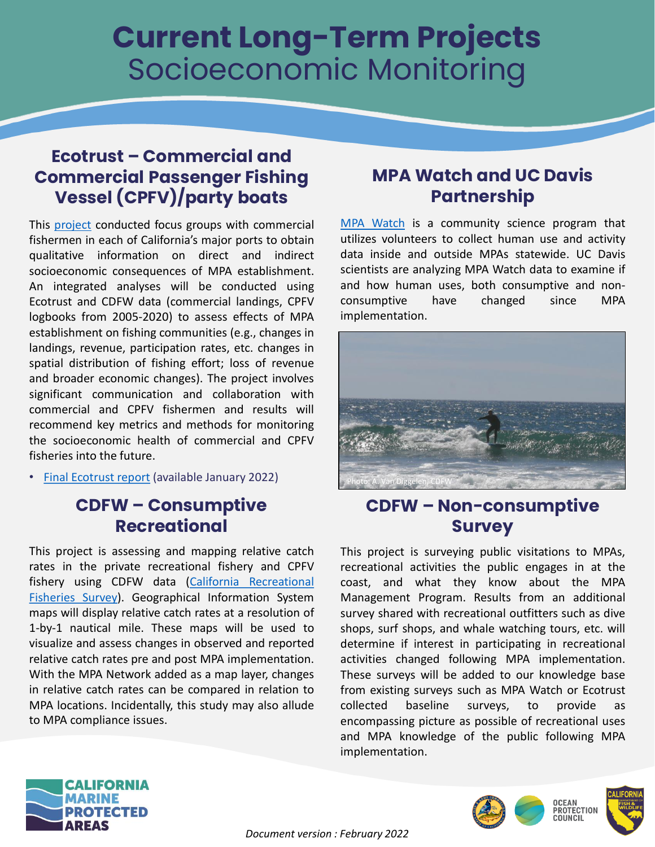# **Current Long-Term Projects** Socioeconomic Monitoring

#### **Ecotrust – Commercial and Commercial Passenger Fishing Vessel (CPFV)/party boats**

This [project](https://caseagrant.ucsd.edu/news/mpa-update-fishing-communities-discuss-protected-areas-impacts) conducted focus groups with commercial fishermen in each of California's major ports to obtain qualitative information on direct and indirect socioeconomic consequences of MPA establishment. An integrated analyses will be conducted using Ecotrust and CDFW data (commercial landings, CPFV logbooks from 2005-2020) to assess effects of MPA establishment on fishing communities (e.g., changes in landings, revenue, participation rates, etc. changes in spatial distribution of fishing effort; loss of revenue and broader economic changes). The project involves significant communication and collaboration with commercial and CPFV fishermen and results will recommend key metrics and methods for monitoring the socioeconomic health of commercial and CPFV fisheries into the future.

• Final [Ecotrust](https://caseagrant.ucsd.edu/sites/default/files/Final%20Report_MPA%20LTM%20Human%20Uses%20Study_Bonkoski%20et%20al._December2021.pdf) report (available January 2022)

#### **CDFW – Consumptive Recreational**

This project is assessing and mapping relative catch rates in the private recreational fishery and CPFV fishery using CDFW data (California Recreational Fisheries Survey). [Geographical](https://wildlife.ca.gov/Conservation/Marine/CRFS) Information System maps will display relative catch rates at a resolution of 1-by-1 nautical mile. These maps will be used to visualize and assess changes in observed and reported relative catch rates pre and post MPA implementation. With the MPA Network added as a map layer, changes in relative catch rates can be compared in relation to MPA locations. Incidentally, this study may also allude to MPA compliance issues.

#### **MPA Watch and UC Davis Partnership**

MPA [Watch](https://mpawatch.org/) is a community science program that utilizes volunteers to collect human use and activity data inside and outside MPAs statewide. UC Davis scientists are analyzing MPA Watch data to examine if and how human uses, both consumptive and nonconsumptive have changed since MPA implementation.



### **CDFW – Non-consumptive Survey**

This project is surveying public visitations to MPAs, recreational activities the public engages in at the coast, and what they know about the MPA Management Program. Results from an additional survey shared with recreational outfitters such as dive shops, surf shops, and whale watching tours, etc. will determine if interest in participating in recreational activities changed following MPA implementation. These surveys will be added to our knowledge base from existing surveys such as MPA Watch or Ecotrust collected baseline surveys, to provide as encompassing picture as possible of recreational uses and MPA knowledge of the public following MPA implementation.





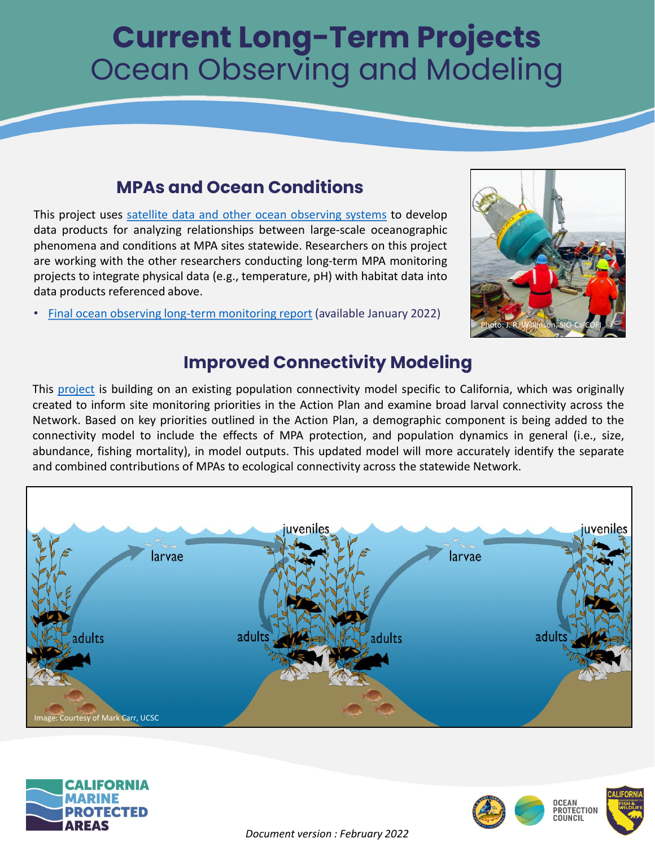# **Current Long-Term Projects** Ocean Observing and Modeling

## **MPAs and Ocean Conditions**

This project uses satellite data and other ocean [observing](https://caseagrant.ucsd.edu/news/mpa-update-integrating-data-to-assess-californias-marine-protected-areas) systems to develop data products for analyzing relationships between large-scale oceanographic phenomena and conditions at MPA sites statewide. Researchers on this project are working with the other researchers conducting long-term MPA monitoring projects to integrate physical data (e.g., temperature, pH) with habitat data into data products referenced above.

• Final ocean observing long-term [monitoring](https://caseagrant.ucsd.edu/sites/default/files/CA%20IOOS%20MPA%20Final%20Technical%20Report%20ruhl_20220119.pdf) report (available January 2022)



## **Improved Connectivity Modeling**

This [project](https://opc.ca.gov/webmaster/ftp/pdf/agenda_items/20191113/Item8b_ConnectivityModeling_FINAL.pdf) is building on an existing population connectivity model specific to California, which was originally created to inform site monitoring priorities in the Action Plan and examine broad larval connectivity across the Network. Based on key priorities outlined in the Action Plan, a demographic component is being added to the connectivity model to include the effects of MPA protection, and population dynamics in general (i.e., size, abundance, fishing mortality), in model outputs. This updated model will more accurately identify the separate and combined contributions of MPAs to ecological connectivity across the statewide Network.







*Document version : February 2022*